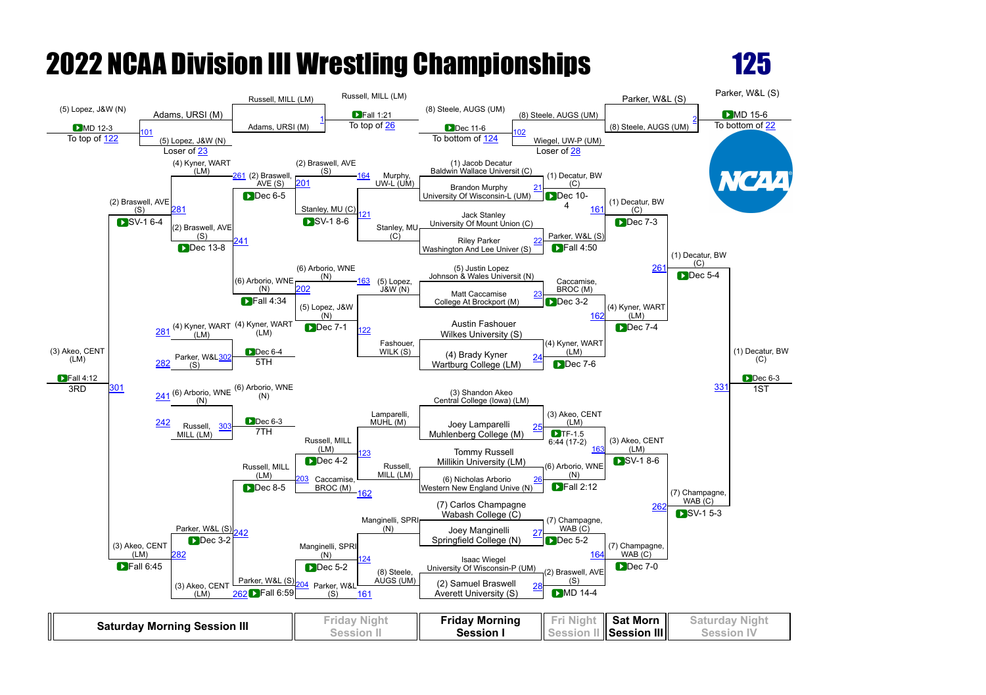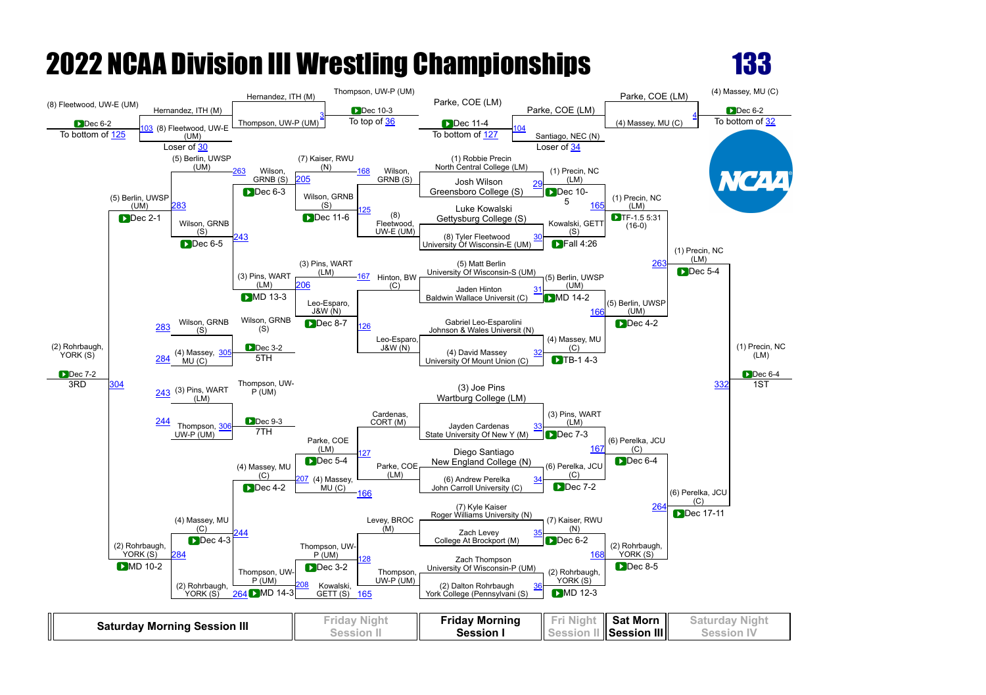

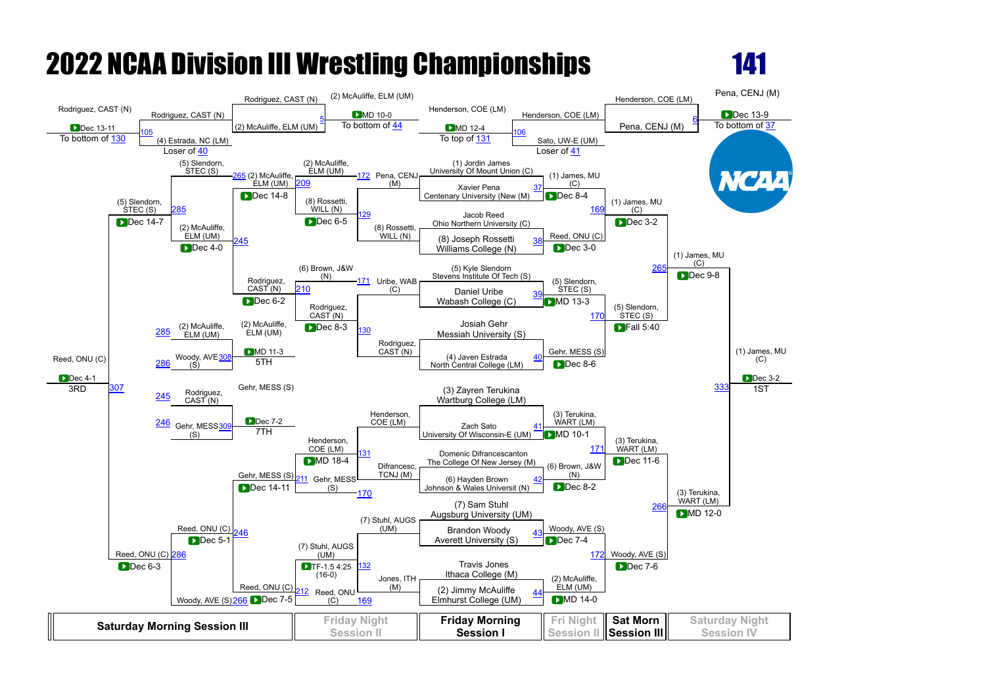

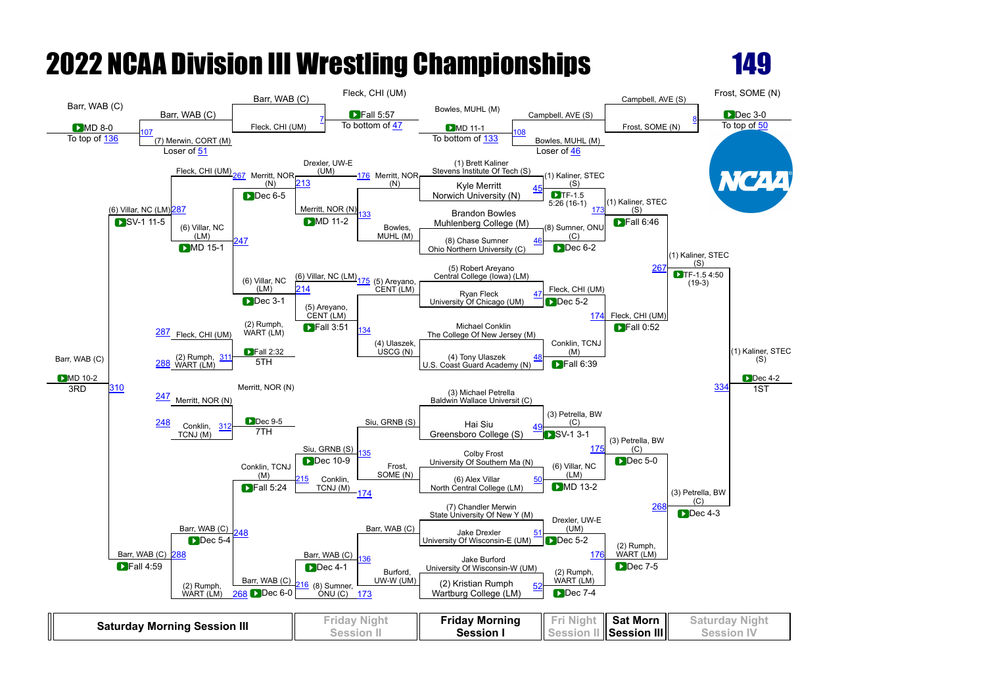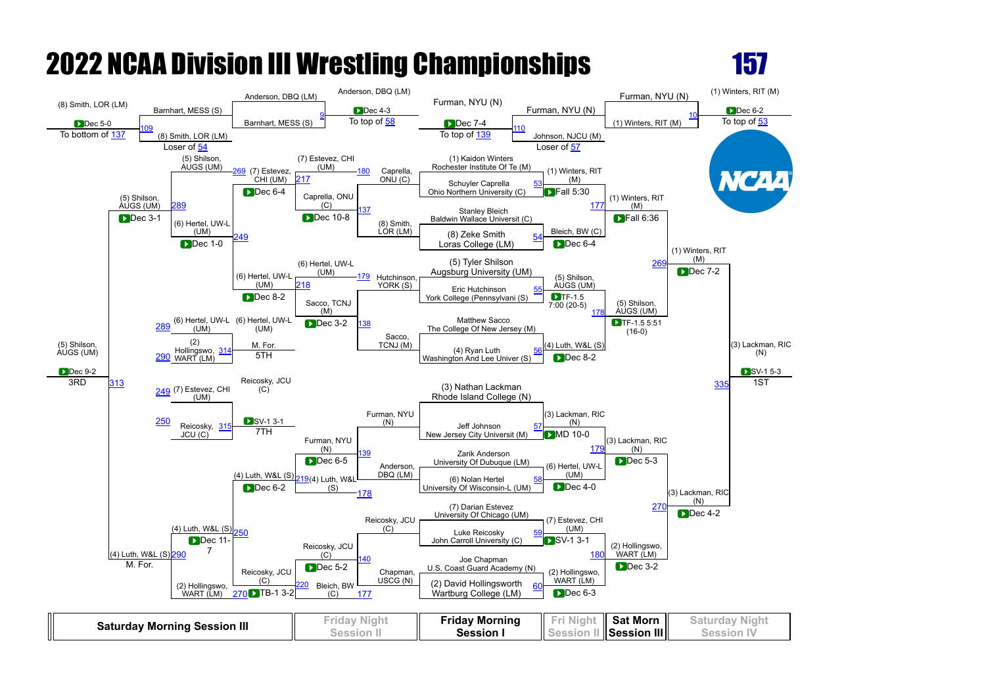

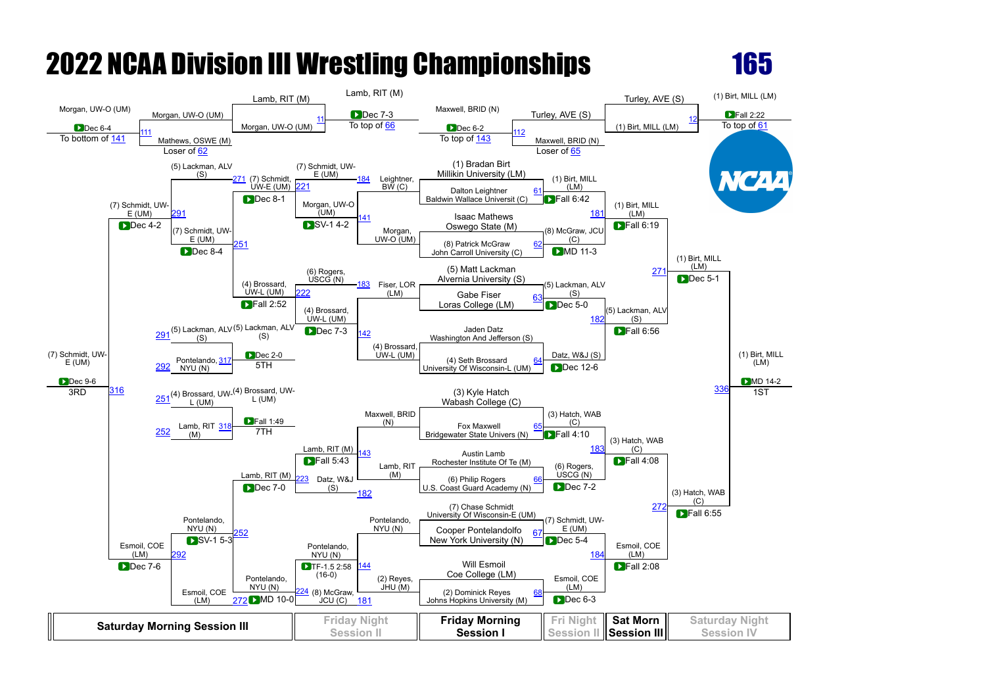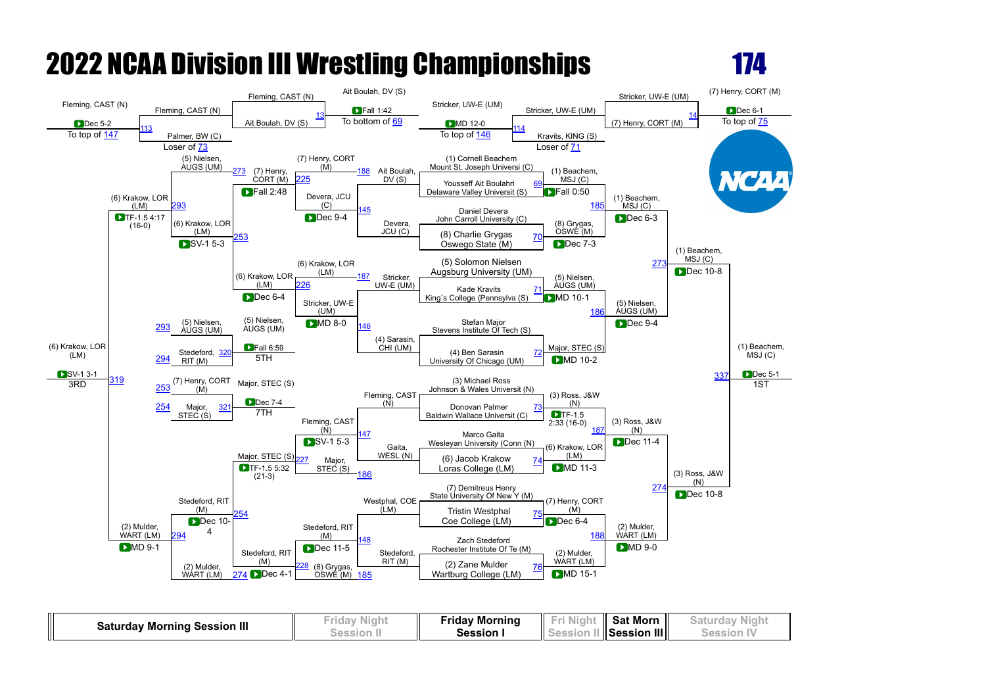



| <b>Saturday Morning Session III</b> | rıday<br><b>AIGHT</b> | Fridav Morning | IL   | <b>Sat Morn</b> |  |
|-------------------------------------|-----------------------|----------------|------|-----------------|--|
|                                     |                       | Session        | ll s | Session III     |  |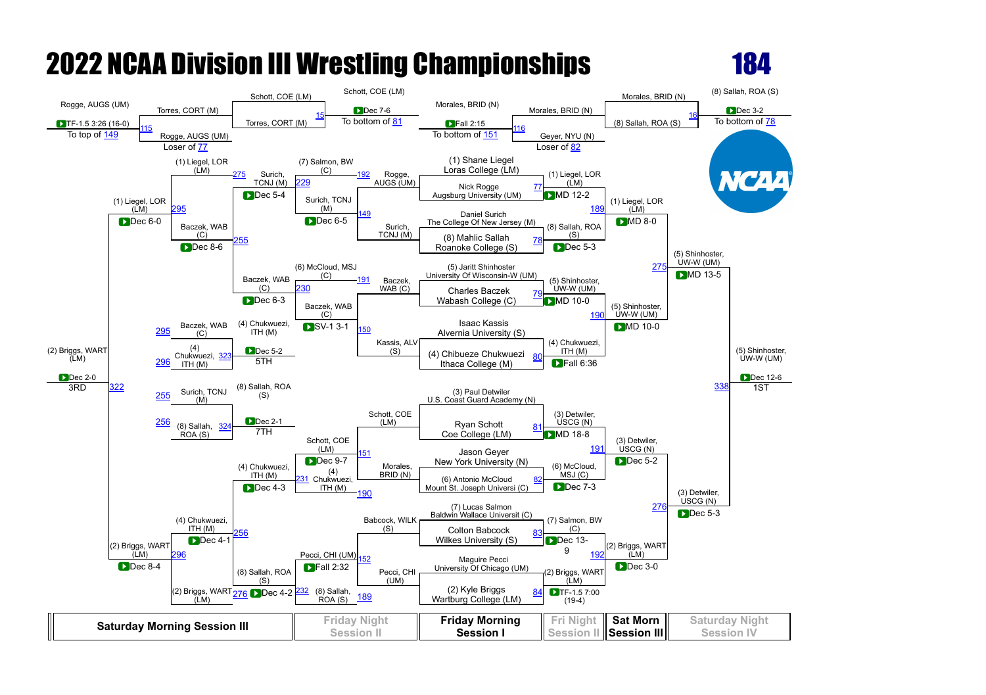

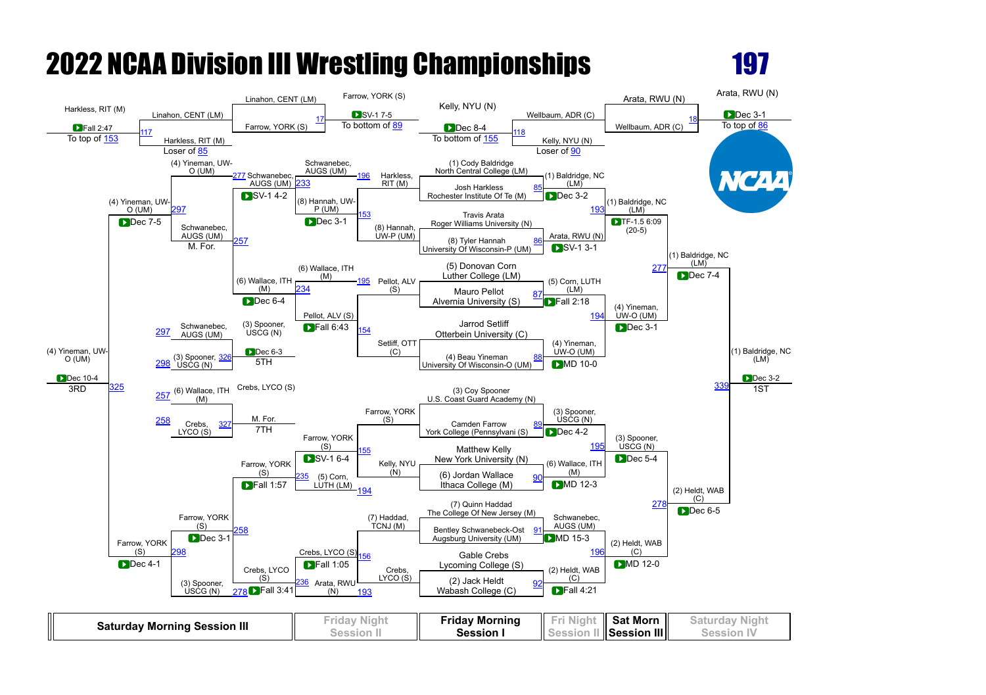